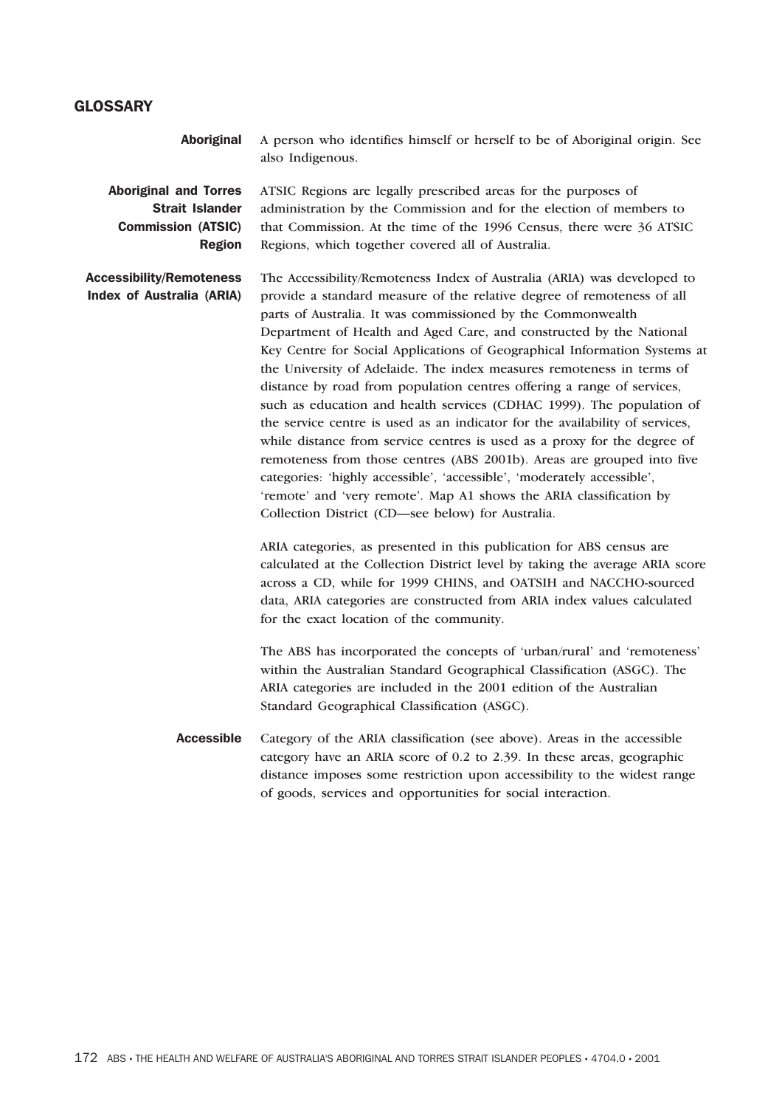## **GLOSSARY**

Aboriginal A person who identifies himself or herself to be of Aboriginal origin. See also Indigenous.

Aboriginal and Torres Strait Islander Commission (ATSIC) Region ATSIC Regions are legally prescribed areas for the purposes of administration by the Commission and for the election of members to that Commission. At the time of the 1996 Census, there were 36 ATSIC Regions, which together covered all of Australia.

Accessibility/Remoteness Index of Australia (ARIA) The Accessibility/Remoteness Index of Australia (ARIA) was developed to provide a standard measure of the relative degree of remoteness of all parts of Australia. It was commissioned by the Commonwealth Department of Health and Aged Care, and constructed by the National Key Centre for Social Applications of Geographical Information Systems at the University of Adelaide. The index measures remoteness in terms of distance by road from population centres offering a range of services, such as education and health services (CDHAC 1999). The population of the service centre is used as an indicator for the availability of services, while distance from service centres is used as a proxy for the degree of remoteness from those centres (ABS 2001b). Areas are grouped into five categories: 'highly accessible', 'accessible', 'moderately accessible', 'remote' and 'very remote'. Map A1 shows the ARIA classification by Collection District (CD—see below) for Australia.

> ARIA categories, as presented in this publication for ABS census are calculated at the Collection District level by taking the average ARIA score across a CD, while for 1999 CHINS, and OATSIH and NACCHO-sourced data, ARIA categories are constructed from ARIA index values calculated for the exact location of the community.

The ABS has incorporated the concepts of 'urban/rural' and 'remoteness' within the Australian Standard Geographical Classification (ASGC). The ARIA categories are included in the 2001 edition of the Australian Standard Geographical Classification (ASGC).

Accessible Category of the ARIA classification (see above). Areas in the accessible category have an ARIA score of 0.2 to 2.39. In these areas, geographic distance imposes some restriction upon accessibility to the widest range of goods, services and opportunities for social interaction.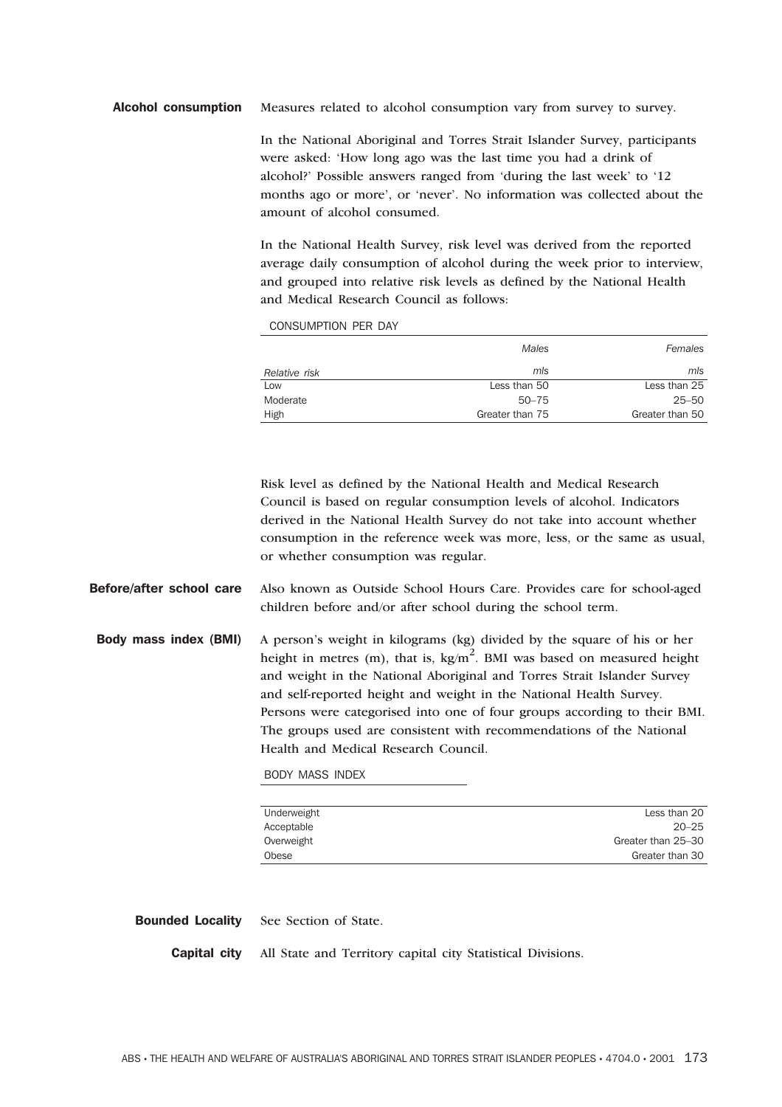## Alcohol consumption Measures related to alcohol consumption vary from survey to survey.

In the National Aboriginal and Torres Strait Islander Survey, participants were asked: 'How long ago was the last time you had a drink of alcohol?' Possible answers ranged from 'during the last week' to '12 months ago or more', or 'never'. No information was collected about the amount of alcohol consumed.

In the National Health Survey, risk level was derived from the reported average daily consumption of alcohol during the week prior to interview, and grouped into relative risk levels as defined by the National Health and Medical Research Council as follows:

CONSUMPTION PER DAY

|               | <b>Males</b>    | Females         |
|---------------|-----------------|-----------------|
| Relative risk | mls             | mls             |
| Low           | Less than 50    | Less than 25    |
| Moderate      | $50 - 75$       | 25–50           |
| High          | Greater than 75 | Greater than 50 |

Risk level as defined by the National Health and Medical Research Council is based on regular consumption levels of alcohol. Indicators derived in the National Health Survey do not take into account whether consumption in the reference week was more, less, or the same as usual, or whether consumption was regular.

- Before/after school care Also known as Outside School Hours Care. Provides care for school-aged children before and/or after school during the school term.
- Body mass index (BMI) A person's weight in kilograms (kg) divided by the square of his or her height in metres (m), that is,  $kg/m^2$ . BMI was based on measured height and weight in the National Aboriginal and Torres Strait Islander Survey and self-reported height and weight in the National Health Survey. Persons were categorised into one of four groups according to their BMI. The groups used are consistent with recommendations of the National Health and Medical Research Council.

BODY MASS INDEX

| Underweight | Less than 20       |
|-------------|--------------------|
| Acceptable  | $20 - 25$          |
| Overweight  | Greater than 25-30 |
| Obese       | Greater than 30    |

Bounded Locality See Section of State.

Capital city All State and Territory capital city Statistical Divisions.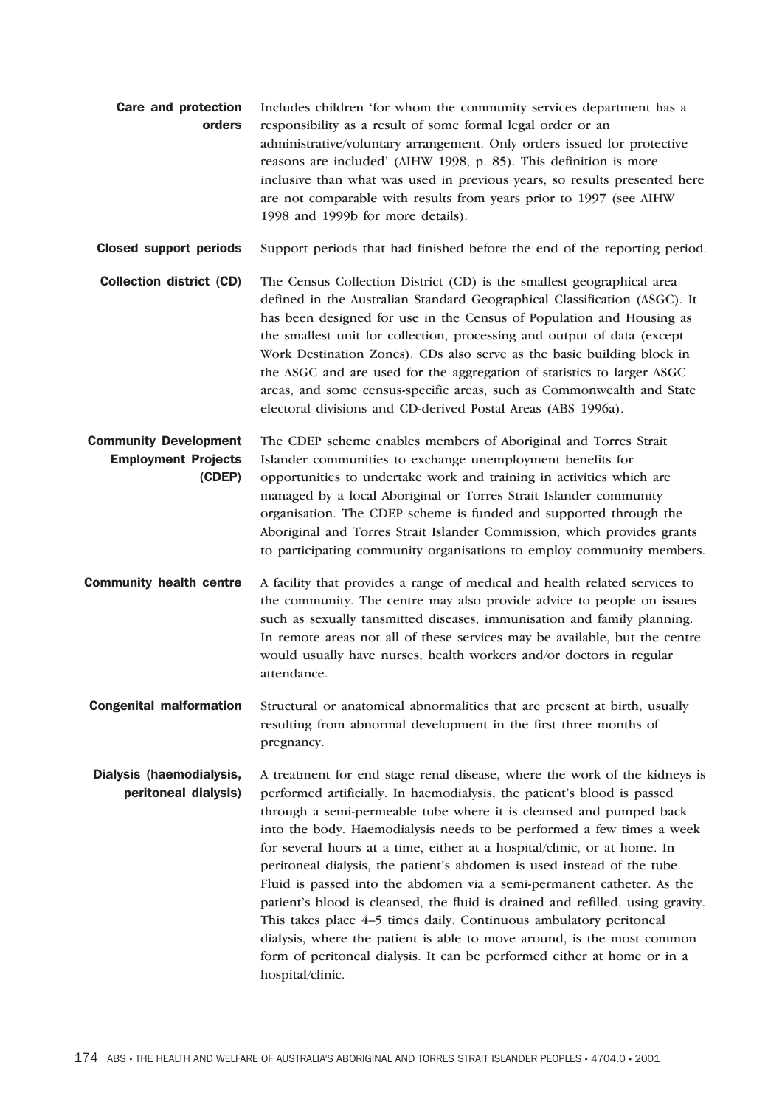|        | <b>Care and protection</b> Includes children 'for whom the community services department has a |  |
|--------|------------------------------------------------------------------------------------------------|--|
| orders | responsibility as a result of some formal legal order or an                                    |  |
|        | administrative/voluntary arrangement. Only orders issued for protective                        |  |
|        | reasons are included' (AIHW 1998, p. 85). This definition is more                              |  |
|        | inclusive than what was used in previous years, so results presented here                      |  |
|        | are not comparable with results from years prior to 1997 (see AIHW)                            |  |
|        | 1998 and 1999b for more details).                                                              |  |

Closed support periods Support periods that had finished before the end of the reporting period.

Collection district (CD) The Census Collection District (CD) is the smallest geographical area defined in the Australian Standard Geographical Classification (ASGC). It has been designed for use in the Census of Population and Housing as the smallest unit for collection, processing and output of data (except Work Destination Zones). CDs also serve as the basic building block in the ASGC and are used for the aggregation of statistics to larger ASGC areas, and some census-specific areas, such as Commonwealth and State electoral divisions and CD-derived Postal Areas (ABS 1996a).

Community Development Employment Projects (CDEP) The CDEP scheme enables members of Aboriginal and Torres Strait Islander communities to exchange unemployment benefits for opportunities to undertake work and training in activities which are managed by a local Aboriginal or Torres Strait Islander community organisation. The CDEP scheme is funded and supported through the Aboriginal and Torres Strait Islander Commission, which provides grants to participating community organisations to employ community members.

Community health centre A facility that provides a range of medical and health related services to the community. The centre may also provide advice to people on issues such as sexually tansmitted diseases, immunisation and family planning. In remote areas not all of these services may be available, but the centre would usually have nurses, health workers and/or doctors in regular attendance.

Congenital malformation Structural or anatomical abnormalities that are present at birth, usually resulting from abnormal development in the first three months of pregnancy.

Dialysis (haemodialysis, peritoneal dialysis) A treatment for end stage renal disease, where the work of the kidneys is performed artificially. In haemodialysis, the patient's blood is passed through a semi-permeable tube where it is cleansed and pumped back into the body. Haemodialysis needs to be performed a few times a week for several hours at a time, either at a hospital/clinic, or at home. In peritoneal dialysis, the patient's abdomen is used instead of the tube. Fluid is passed into the abdomen via a semi-permanent catheter. As the patient's blood is cleansed, the fluid is drained and refilled, using gravity. This takes place 4–5 times daily. Continuous ambulatory peritoneal dialysis, where the patient is able to move around, is the most common form of peritoneal dialysis. It can be performed either at home or in a hospital/clinic.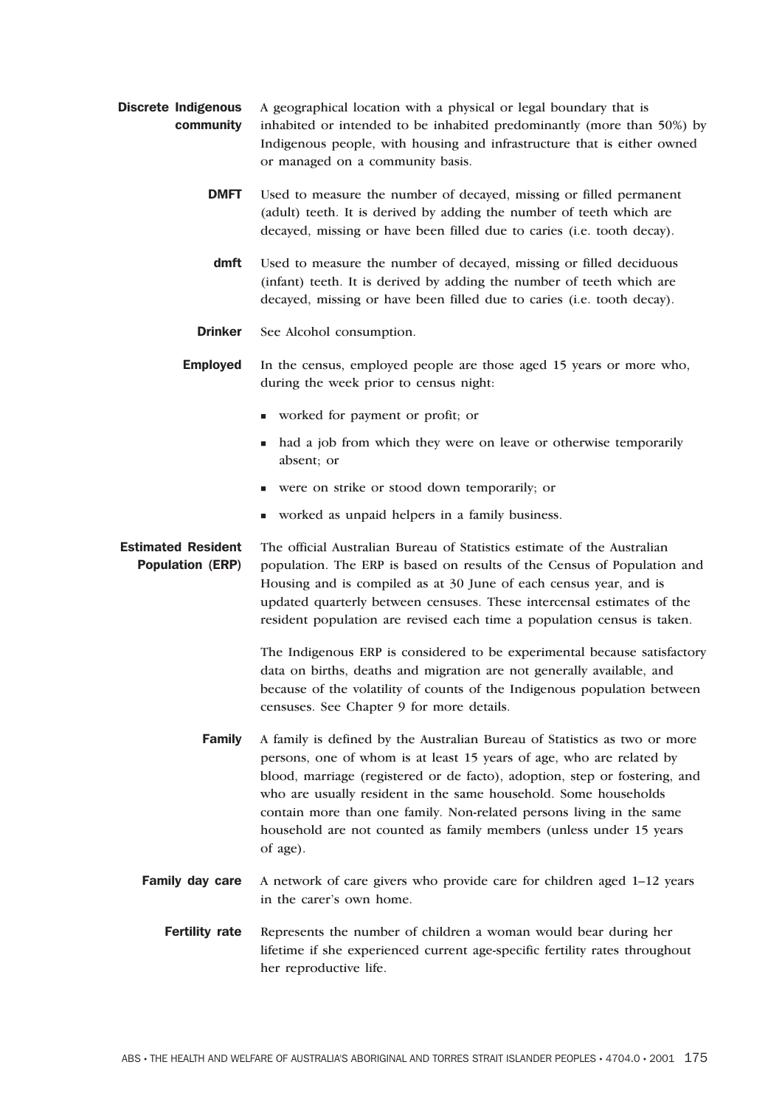- Discrete Indigenous community A geographical location with a physical or legal boundary that is inhabited or intended to be inhabited predominantly (more than 50%) by Indigenous people, with housing and infrastructure that is either owned or managed on a community basis.
	- **DMFT** Used to measure the number of decayed, missing or filled permanent (adult) teeth. It is derived by adding the number of teeth which are decayed, missing or have been filled due to caries (i.e. tooth decay).
	- dmft Used to measure the number of decayed, missing or filled deciduous (infant) teeth. It is derived by adding the number of teeth which are decayed, missing or have been filled due to caries (i.e. tooth decay).
	- Drinker See Alcohol consumption.

Employed In the census, employed people are those aged 15 years or more who, during the week prior to census night:

- worked for payment or profit; or
- had a job from which they were on leave or otherwise temporarily absent; or
- were on strike or stood down temporarily; or
- worked as unpaid helpers in a family business.

Estimated Resident Population (ERP) The official Australian Bureau of Statistics estimate of the Australian population. The ERP is based on results of the Census of Population and Housing and is compiled as at 30 June of each census year, and is updated quarterly between censuses. These intercensal estimates of the resident population are revised each time a population census is taken.

> The Indigenous ERP is considered to be experimental because satisfactory data on births, deaths and migration are not generally available, and because of the volatility of counts of the Indigenous population between censuses. See Chapter 9 for more details.

- Family A family is defined by the Australian Bureau of Statistics as two or more persons, one of whom is at least 15 years of age, who are related by blood, marriage (registered or de facto), adoption, step or fostering, and who are usually resident in the same household. Some households contain more than one family. Non-related persons living in the same household are not counted as family members (unless under 15 years of age).
- Family day care A network of care givers who provide care for children aged 1–12 years in the carer's own home.
	- Fertility rate Represents the number of children a woman would bear during her lifetime if she experienced current age-specific fertility rates throughout her reproductive life.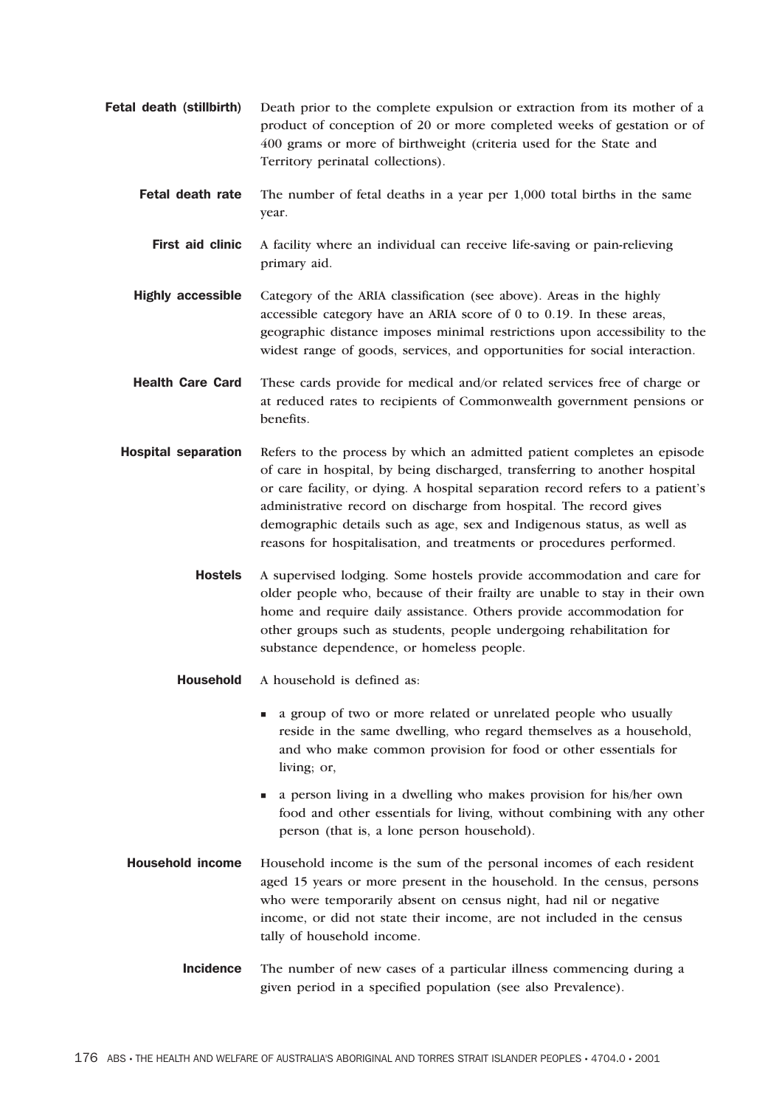- Fetal death (stillbirth) Death prior to the complete expulsion or extraction from its mother of a product of conception of 20 or more completed weeks of gestation or of 400 grams or more of birthweight (criteria used for the State and Territory perinatal collections).
	- Fetal death rate The number of fetal deaths in a year per 1,000 total births in the same year.
	- First aid clinic A facility where an individual can receive life-saving or pain-relieving primary aid.
	- Highly accessible Category of the ARIA classification (see above). Areas in the highly accessible category have an ARIA score of 0 to 0.19. In these areas, geographic distance imposes minimal restrictions upon accessibility to the widest range of goods, services, and opportunities for social interaction.
	- Health Care Card These cards provide for medical and/or related services free of charge or at reduced rates to recipients of Commonwealth government pensions or benefits.
	- Hospital separation Refers to the process by which an admitted patient completes an episode of care in hospital, by being discharged, transferring to another hospital or care facility, or dying. A hospital separation record refers to a patient's administrative record on discharge from hospital. The record gives demographic details such as age, sex and Indigenous status, as well as reasons for hospitalisation, and treatments or procedures performed.
		- Hostels A supervised lodging. Some hostels provide accommodation and care for older people who, because of their frailty are unable to stay in their own home and require daily assistance. Others provide accommodation for other groups such as students, people undergoing rehabilitation for substance dependence, or homeless people.
		- Household A household is defined as:
			- a group of two or more related or unrelated people who usually reside in the same dwelling, who regard themselves as a household, and who make common provision for food or other essentials for living; or,
			- a person living in a dwelling who makes provision for his/her own food and other essentials for living, without combining with any other person (that is, a lone person household).
	- Household income Household income is the sum of the personal incomes of each resident aged 15 years or more present in the household. In the census, persons who were temporarily absent on census night, had nil or negative income, or did not state their income, are not included in the census tally of household income.
		- Incidence The number of new cases of a particular illness commencing during a given period in a specified population (see also Prevalence).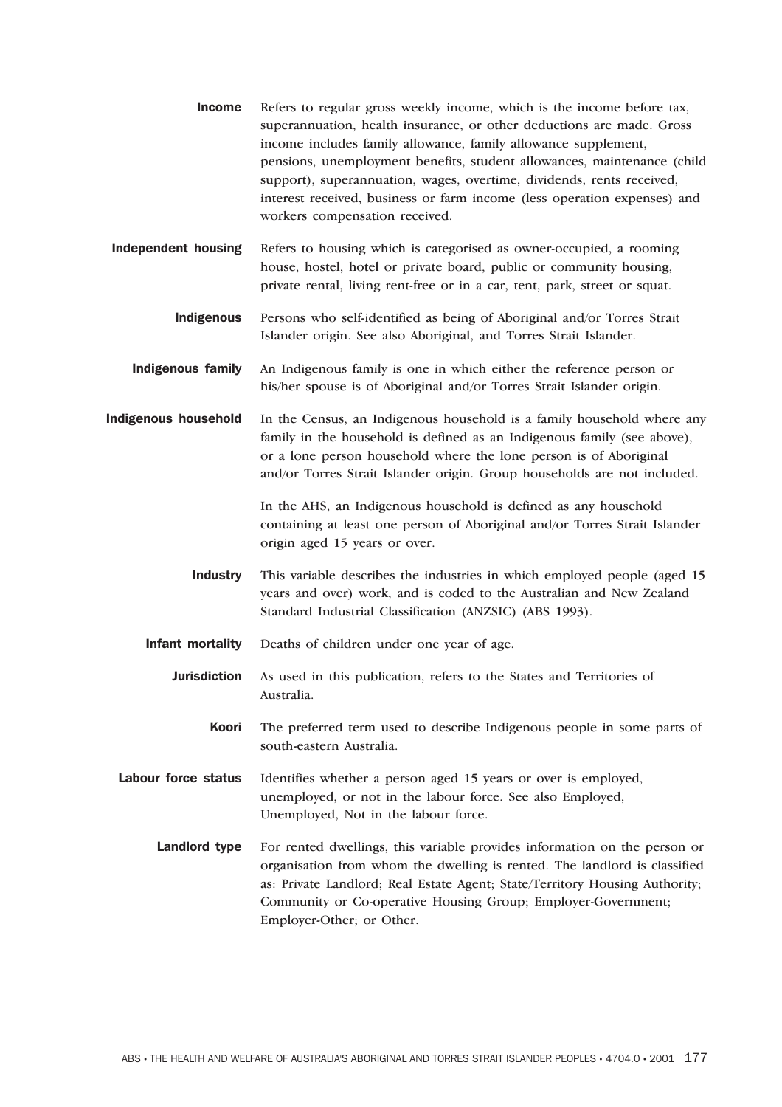- Income Refers to regular gross weekly income, which is the income before tax, superannuation, health insurance, or other deductions are made. Gross income includes family allowance, family allowance supplement, pensions, unemployment benefits, student allowances, maintenance (child support), superannuation, wages, overtime, dividends, rents received, interest received, business or farm income (less operation expenses) and workers compensation received.
- Independent housing Refers to housing which is categorised as owner-occupied, a rooming house, hostel, hotel or private board, public or community housing, private rental, living rent-free or in a car, tent, park, street or squat.
	- Indigenous Persons who self-identified as being of Aboriginal and/or Torres Strait Islander origin. See also Aboriginal, and Torres Strait Islander.
	- Indigenous family An Indigenous family is one in which either the reference person or his/her spouse is of Aboriginal and/or Torres Strait Islander origin.
- Indigenous household In the Census, an Indigenous household is a family household where any family in the household is defined as an Indigenous family (see above), or a lone person household where the lone person is of Aboriginal and/or Torres Strait Islander origin. Group households are not included.

In the AHS, an Indigenous household is defined as any household containing at least one person of Aboriginal and/or Torres Strait Islander origin aged 15 years or over.

- Industry This variable describes the industries in which employed people (aged 15 years and over) work, and is coded to the Australian and New Zealand Standard Industrial Classification (ANZSIC) (ABS 1993).
- Infant mortality Deaths of children under one year of age.
	- Jurisdiction As used in this publication, refers to the States and Territories of Australia.
		- Koori The preferred term used to describe Indigenous people in some parts of south-eastern Australia.

Labour force status Identifies whether a person aged 15 years or over is employed, unemployed, or not in the labour force. See also Employed, Unemployed, Not in the labour force.

Landlord type For rented dwellings, this variable provides information on the person or organisation from whom the dwelling is rented. The landlord is classified as: Private Landlord; Real Estate Agent; State/Territory Housing Authority; Community or Co-operative Housing Group; Employer-Government; Employer-Other; or Other.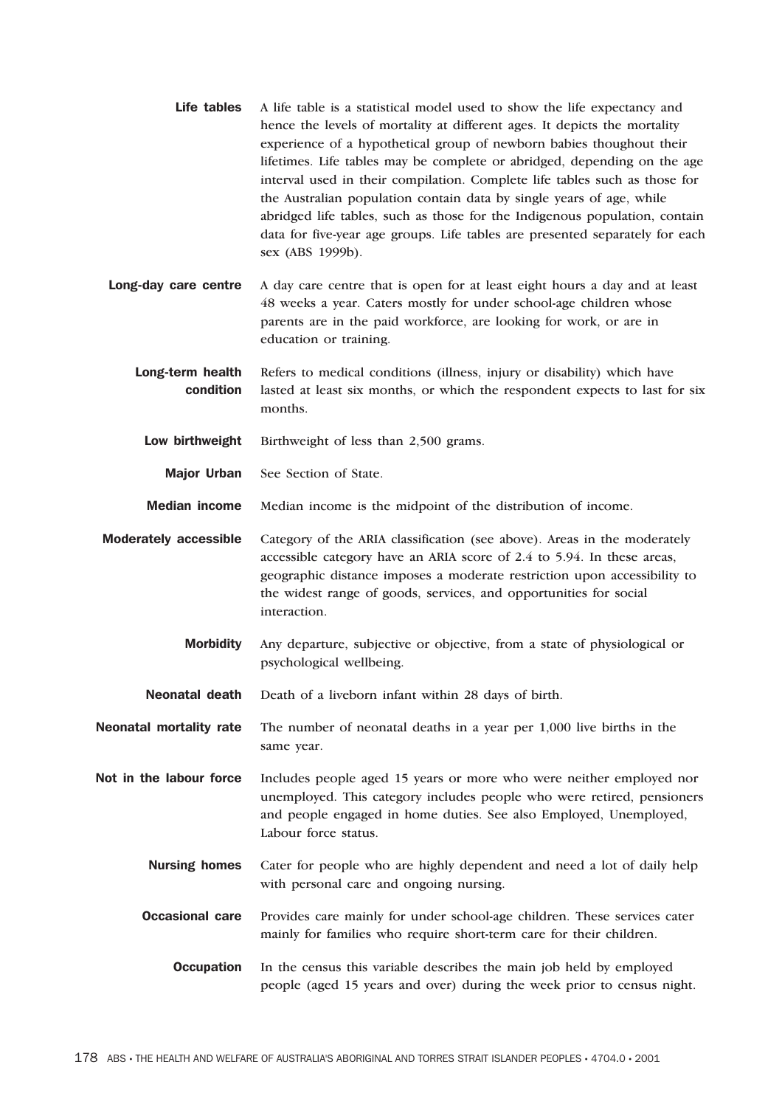- Life tables A life table is a statistical model used to show the life expectancy and hence the levels of mortality at different ages. It depicts the mortality experience of a hypothetical group of newborn babies thoughout their lifetimes. Life tables may be complete or abridged, depending on the age interval used in their compilation. Complete life tables such as those for the Australian population contain data by single years of age, while abridged life tables, such as those for the Indigenous population, contain data for five-year age groups. Life tables are presented separately for each sex (ABS 1999b).
- Long-day care centre A day care centre that is open for at least eight hours a day and at least 48 weeks a year. Caters mostly for under school-age children whose parents are in the paid workforce, are looking for work, or are in education or training.
	- Long-term health condition Refers to medical conditions (illness, injury or disability) which have lasted at least six months, or which the respondent expects to last for six months.
		- Low birthweight Birthweight of less than 2,500 grams.
			- Major Urban See Section of State.
	- Median income Median income is the midpoint of the distribution of income.
- Moderately accessible Category of the ARIA classification (see above). Areas in the moderately accessible category have an ARIA score of 2.4 to 5.94. In these areas, geographic distance imposes a moderate restriction upon accessibility to the widest range of goods, services, and opportunities for social interaction.
	- Morbidity Any departure, subjective or objective, from a state of physiological or psychological wellbeing.
	- Neonatal death Death of a liveborn infant within 28 days of birth.
- Neonatal mortality rate The number of neonatal deaths in a year per 1,000 live births in the same year.
- Not in the labour force Includes people aged 15 years or more who were neither employed nor unemployed. This category includes people who were retired, pensioners and people engaged in home duties. See also Employed, Unemployed, Labour force status.
	- Nursing homes Cater for people who are highly dependent and need a lot of daily help with personal care and ongoing nursing.
	- **Occasional care** Provides care mainly for under school-age children. These services cater mainly for families who require short-term care for their children.
		- **Occupation** In the census this variable describes the main job held by employed people (aged 15 years and over) during the week prior to census night.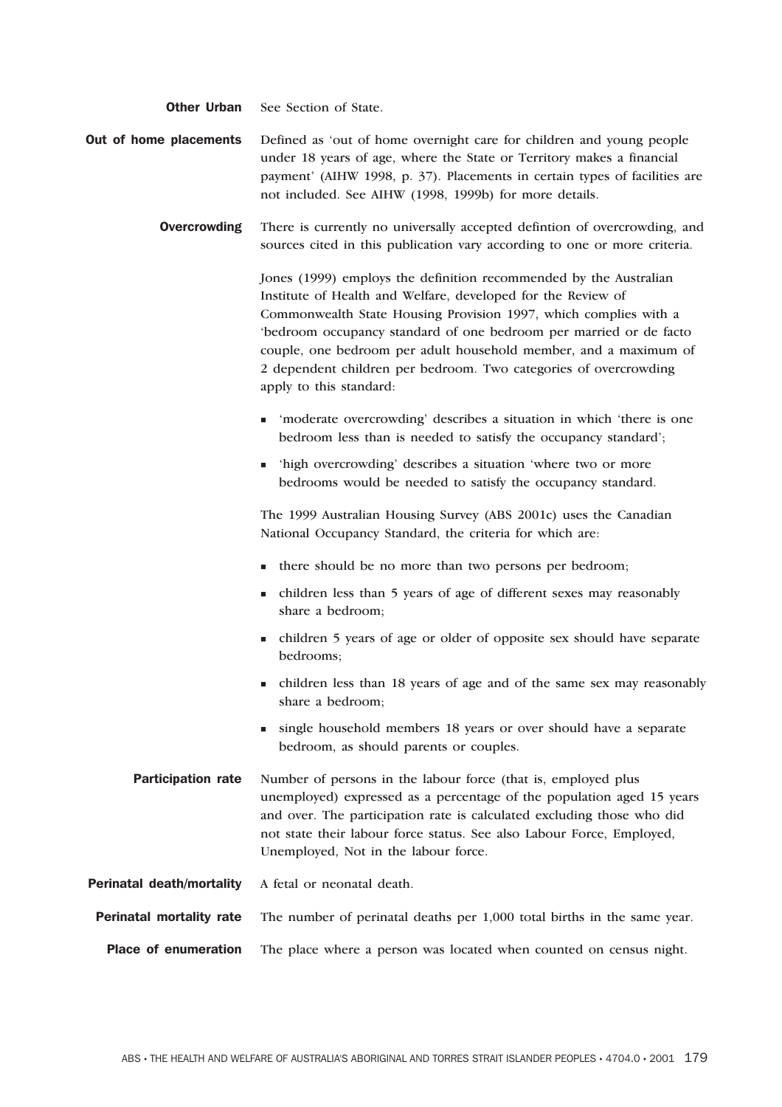**Other Urban** See Section of State.

- **Out of home placements** Defined as 'out of home overnight care for children and young people under 18 years of age, where the State or Territory makes a financial payment' (AIHW 1998, p. 37). Placements in certain types of facilities are not included. See AIHW (1998, 1999b) for more details.
	- **Overcrowding** There is currently no universally accepted defintion of overcrowding, and sources cited in this publication vary according to one or more criteria.

Jones (1999) employs the definition recommended by the Australian Institute of Health and Welfare, developed for the Review of Commonwealth State Housing Provision 1997, which complies with a 'bedroom occupancy standard of one bedroom per married or de facto couple, one bedroom per adult household member, and a maximum of 2 dependent children per bedroom. Two categories of overcrowding apply to this standard:

- 'moderate overcrowding' describes a situation in which 'there is one bedroom less than is needed to satisfy the occupancy standard';
- 'high overcrowding' describes a situation 'where two or more bedrooms would be needed to satisfy the occupancy standard.

The 1999 Australian Housing Survey (ABS 2001c) uses the Canadian National Occupancy Standard, the criteria for which are:

- there should be no more than two persons per bedroom;
- children less than 5 years of age of different sexes may reasonably share a bedroom;
- children 5 years of age or older of opposite sex should have separate bedrooms;
- children less than 18 years of age and of the same sex may reasonably share a bedroom;
- single household members 18 years or over should have a separate bedroom, as should parents or couples.
- **Participation rate** Number of persons in the labour force (that is, employed plus unemployed) expressed as a percentage of the population aged 15 years and over. The participation rate is calculated excluding those who did not state their labour force status. See also Labour Force, Employed, Unemployed, Not in the labour force.
- Perinatal death/mortality A fetal or neonatal death.
- Perinatal mortality rate The number of perinatal deaths per 1,000 total births in the same year.
- Place of enumeration The place where a person was located when counted on census night.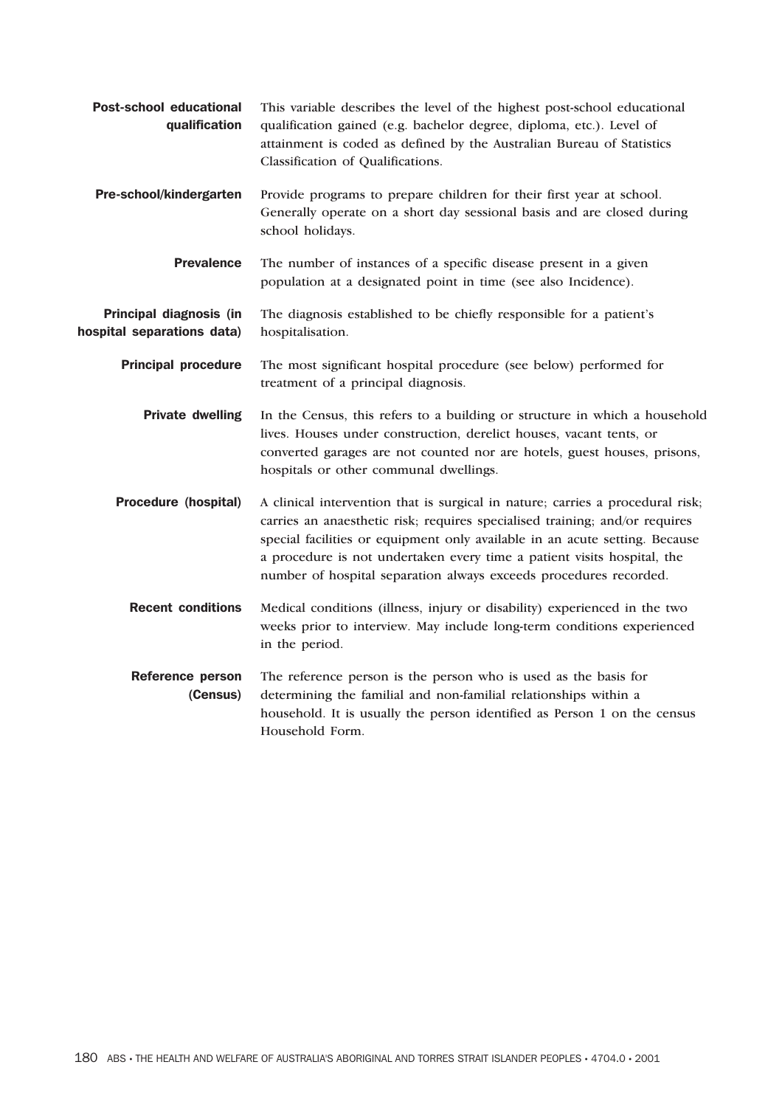| <b>Post-school educational</b><br>qualification       | This variable describes the level of the highest post-school educational<br>qualification gained (e.g. bachelor degree, diploma, etc.). Level of<br>attainment is coded as defined by the Australian Bureau of Statistics<br>Classification of Qualifications.                                                                                                                               |
|-------------------------------------------------------|----------------------------------------------------------------------------------------------------------------------------------------------------------------------------------------------------------------------------------------------------------------------------------------------------------------------------------------------------------------------------------------------|
| Pre-school/kindergarten                               | Provide programs to prepare children for their first year at school.<br>Generally operate on a short day sessional basis and are closed during<br>school holidays.                                                                                                                                                                                                                           |
| <b>Prevalence</b>                                     | The number of instances of a specific disease present in a given<br>population at a designated point in time (see also Incidence).                                                                                                                                                                                                                                                           |
| Principal diagnosis (in<br>hospital separations data) | The diagnosis established to be chiefly responsible for a patient's<br>hospitalisation.                                                                                                                                                                                                                                                                                                      |
| <b>Principal procedure</b>                            | The most significant hospital procedure (see below) performed for<br>treatment of a principal diagnosis.                                                                                                                                                                                                                                                                                     |
| <b>Private dwelling</b>                               | In the Census, this refers to a building or structure in which a household<br>lives. Houses under construction, derelict houses, vacant tents, or<br>converted garages are not counted nor are hotels, guest houses, prisons,<br>hospitals or other communal dwellings.                                                                                                                      |
| Procedure (hospital)                                  | A clinical intervention that is surgical in nature; carries a procedural risk;<br>carries an anaesthetic risk; requires specialised training; and/or requires<br>special facilities or equipment only available in an acute setting. Because<br>a procedure is not undertaken every time a patient visits hospital, the<br>number of hospital separation always exceeds procedures recorded. |
| <b>Recent conditions</b>                              | Medical conditions (illness, injury or disability) experienced in the two<br>weeks prior to interview. May include long-term conditions experienced<br>in the period.                                                                                                                                                                                                                        |
| <b>Reference person</b><br>(Census)                   | The reference person is the person who is used as the basis for<br>determining the familial and non-familial relationships within a<br>household. It is usually the person identified as Person 1 on the census<br>Household Form.                                                                                                                                                           |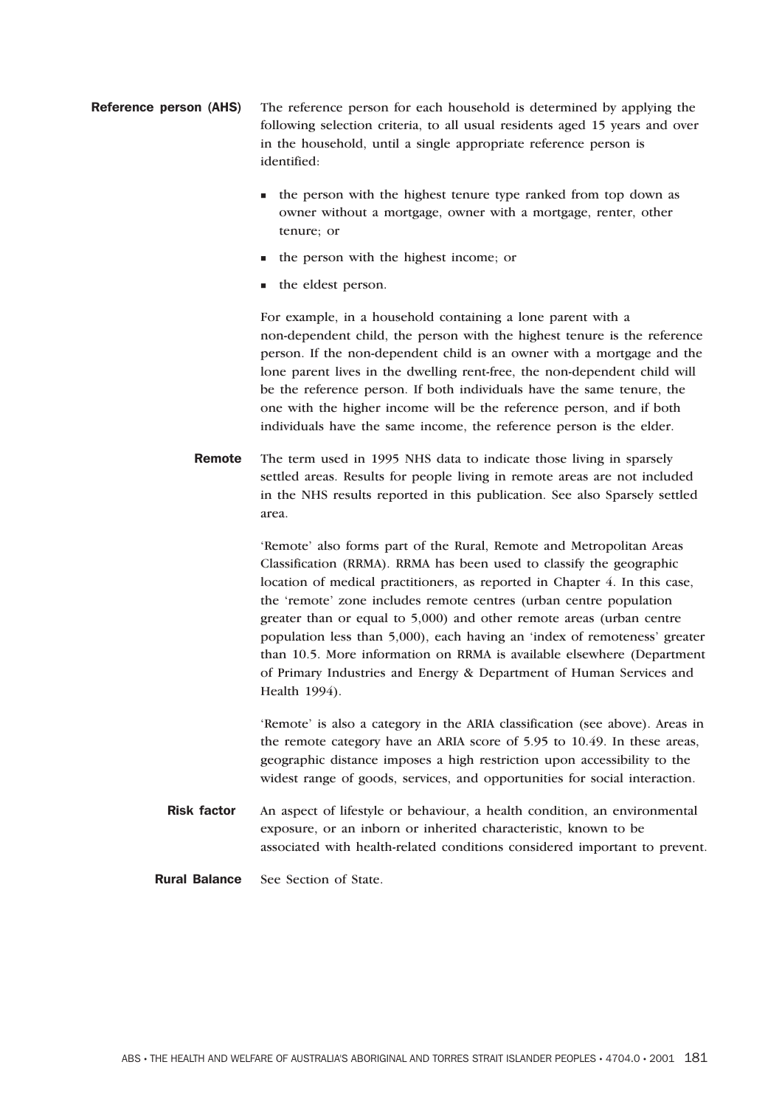- Reference person (AHS) The reference person for each household is determined by applying the following selection criteria, to all usual residents aged 15 years and over in the household, until a single appropriate reference person is identified:
	- the person with the highest tenure type ranked from top down as owner without a mortgage, owner with a mortgage, renter, other tenure; or
	- the person with the highest income; or
	- $\blacksquare$  the eldest person.

For example, in a household containing a lone parent with a non-dependent child, the person with the highest tenure is the reference person. If the non-dependent child is an owner with a mortgage and the lone parent lives in the dwelling rent-free, the non-dependent child will be the reference person. If both individuals have the same tenure, the one with the higher income will be the reference person, and if both individuals have the same income, the reference person is the elder.

Remote The term used in 1995 NHS data to indicate those living in sparsely settled areas. Results for people living in remote areas are not included in the NHS results reported in this publication. See also Sparsely settled area.

> 'Remote' also forms part of the Rural, Remote and Metropolitan Areas Classification (RRMA). RRMA has been used to classify the geographic location of medical practitioners, as reported in Chapter 4. In this case, the 'remote' zone includes remote centres (urban centre population greater than or equal to 5,000) and other remote areas (urban centre population less than 5,000), each having an 'index of remoteness' greater than 10.5. More information on RRMA is available elsewhere (Department of Primary Industries and Energy & Department of Human Services and Health 1994).

> 'Remote' is also a category in the ARIA classification (see above). Areas in the remote category have an ARIA score of 5.95 to 10.49. In these areas, geographic distance imposes a high restriction upon accessibility to the widest range of goods, services, and opportunities for social interaction.

- Risk factor An aspect of lifestyle or behaviour, a health condition, an environmental exposure, or an inborn or inherited characteristic, known to be associated with health-related conditions considered important to prevent.
- Rural Balance See Section of State.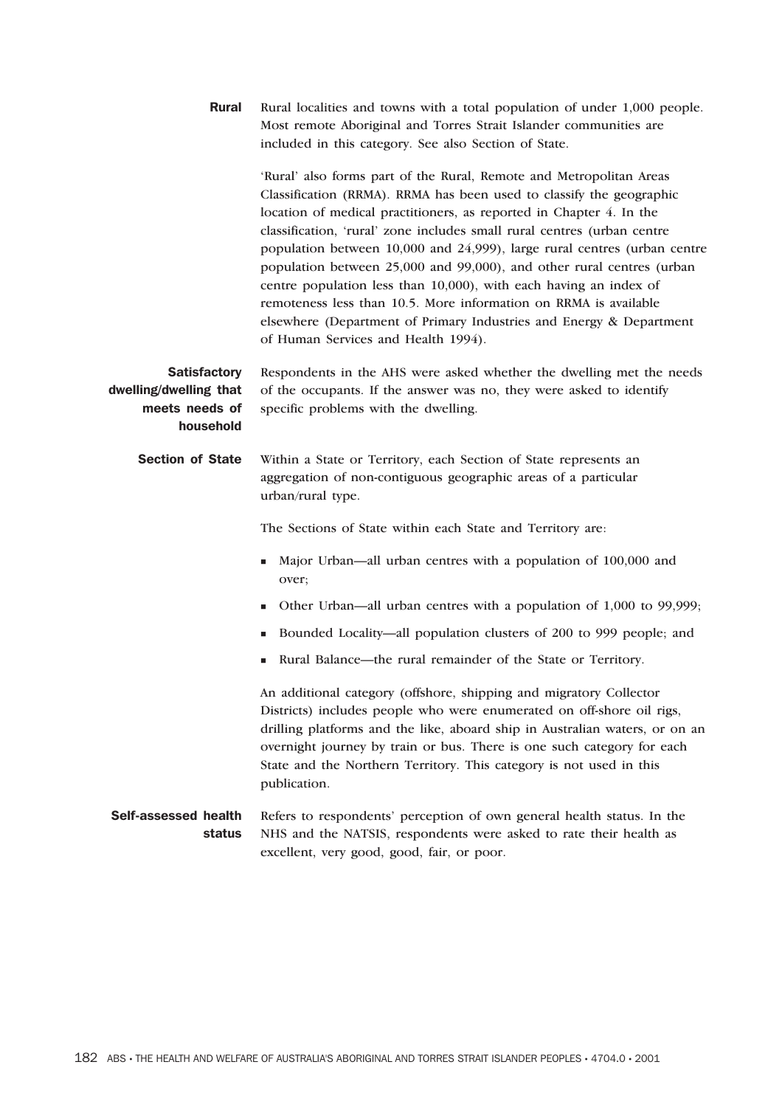| <b>Rural</b>                                                                 | Rural localities and towns with a total population of under 1,000 people.<br>Most remote Aboriginal and Torres Strait Islander communities are<br>included in this category. See also Section of State.                                                                                                                                                                                                                                                                                                                                                                                                                                                                                                   |
|------------------------------------------------------------------------------|-----------------------------------------------------------------------------------------------------------------------------------------------------------------------------------------------------------------------------------------------------------------------------------------------------------------------------------------------------------------------------------------------------------------------------------------------------------------------------------------------------------------------------------------------------------------------------------------------------------------------------------------------------------------------------------------------------------|
|                                                                              | 'Rural' also forms part of the Rural, Remote and Metropolitan Areas<br>Classification (RRMA). RRMA has been used to classify the geographic<br>location of medical practitioners, as reported in Chapter 4. In the<br>classification, 'rural' zone includes small rural centres (urban centre<br>population between 10,000 and 24,999), large rural centres (urban centre<br>population between 25,000 and 99,000), and other rural centres (urban<br>centre population less than 10,000), with each having an index of<br>remoteness less than 10.5. More information on RRMA is available<br>elsewhere (Department of Primary Industries and Energy & Department<br>of Human Services and Health 1994). |
| <b>Satisfactory</b><br>dwelling/dwelling that<br>meets needs of<br>household | Respondents in the AHS were asked whether the dwelling met the needs<br>of the occupants. If the answer was no, they were asked to identify<br>specific problems with the dwelling.                                                                                                                                                                                                                                                                                                                                                                                                                                                                                                                       |
| <b>Section of State</b>                                                      | Within a State or Territory, each Section of State represents an<br>aggregation of non-contiguous geographic areas of a particular<br>urban/rural type.                                                                                                                                                                                                                                                                                                                                                                                                                                                                                                                                                   |
|                                                                              | The Sections of State within each State and Territory are:                                                                                                                                                                                                                                                                                                                                                                                                                                                                                                                                                                                                                                                |
|                                                                              | Major Urban—all urban centres with a population of 100,000 and<br>over;                                                                                                                                                                                                                                                                                                                                                                                                                                                                                                                                                                                                                                   |
|                                                                              | Other Urban—all urban centres with a population of 1,000 to 99,999;<br>٠                                                                                                                                                                                                                                                                                                                                                                                                                                                                                                                                                                                                                                  |
|                                                                              | Bounded Locality—all population clusters of 200 to 999 people; and<br>п                                                                                                                                                                                                                                                                                                                                                                                                                                                                                                                                                                                                                                   |
|                                                                              | Rural Balance—the rural remainder of the State or Territory.                                                                                                                                                                                                                                                                                                                                                                                                                                                                                                                                                                                                                                              |
|                                                                              | An additional category (offshore, shipping and migratory Collector<br>Districts) includes people who were enumerated on off-shore oil rigs,<br>drilling platforms and the like, aboard ship in Australian waters, or on an<br>overnight journey by train or bus. There is one such category for each<br>State and the Northern Territory. This category is not used in this<br>publication.                                                                                                                                                                                                                                                                                                               |
| Self-assessed health<br>status                                               | Refers to respondents' perception of own general health status. In the<br>NHS and the NATSIS, respondents were asked to rate their health as<br>excellent, very good, good, fair, or poor.                                                                                                                                                                                                                                                                                                                                                                                                                                                                                                                |